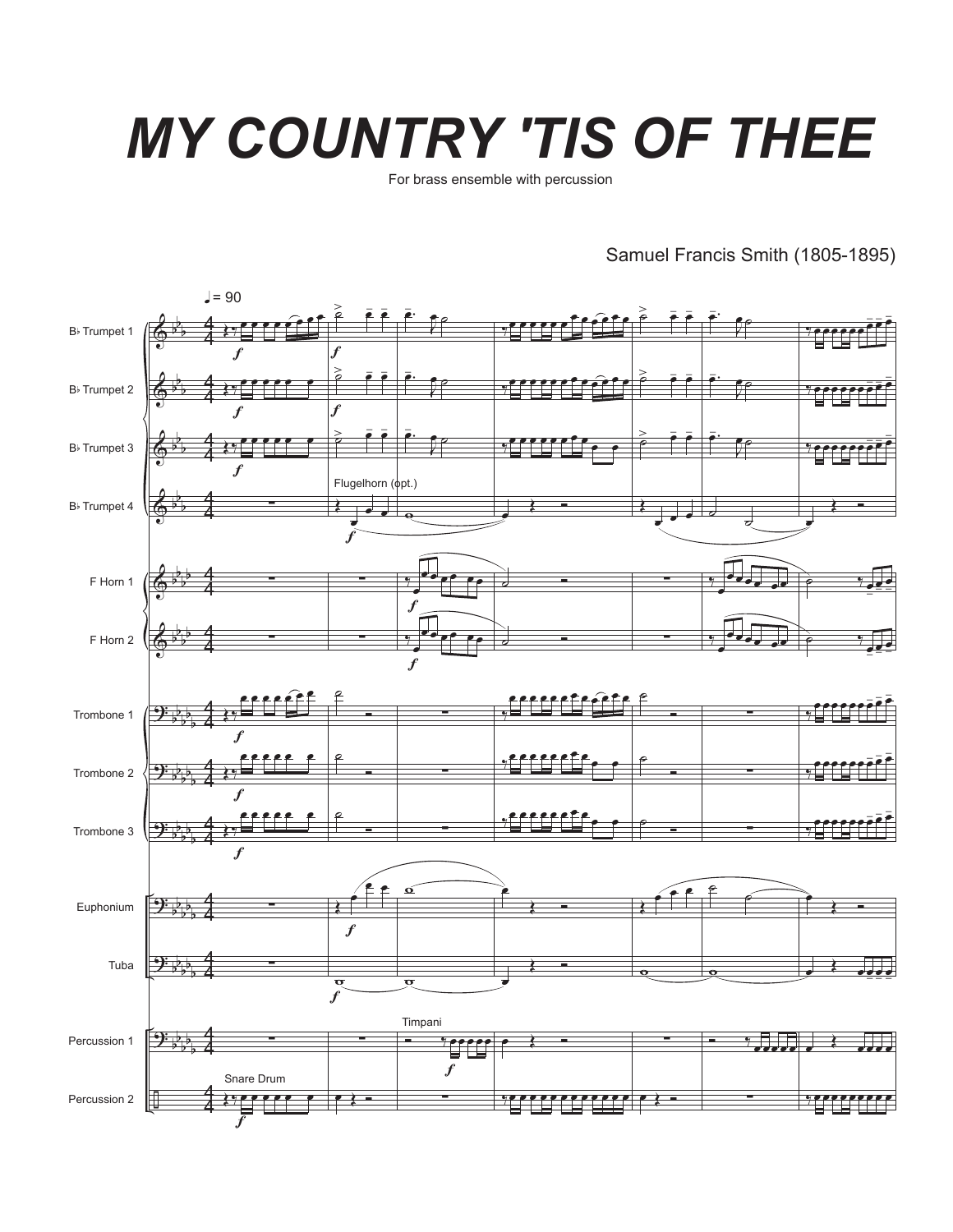## *MY COUNTRY 'TIS OF THEE*

For brass ensemble with percussion

Samuel Francis Smith (1805-1895)

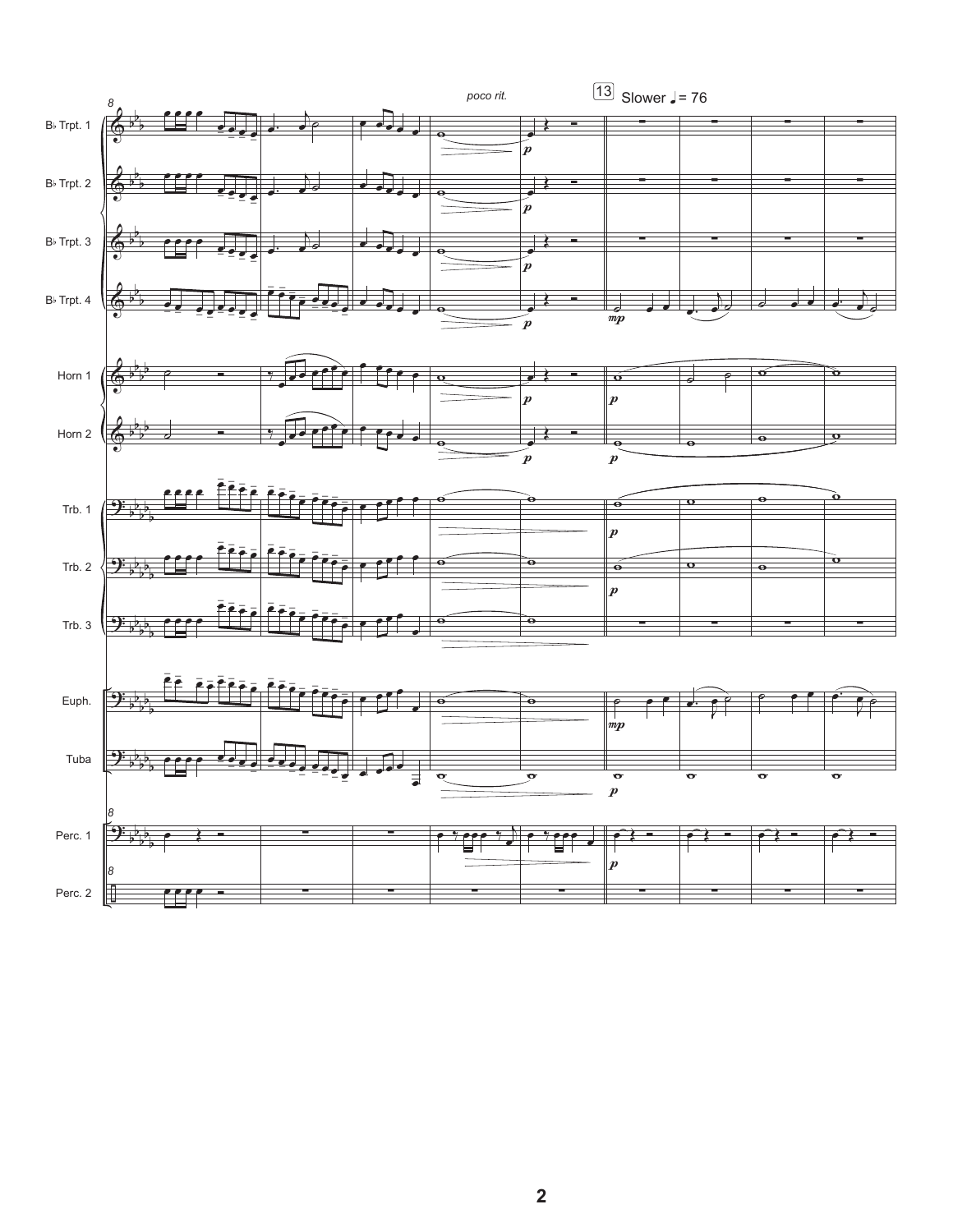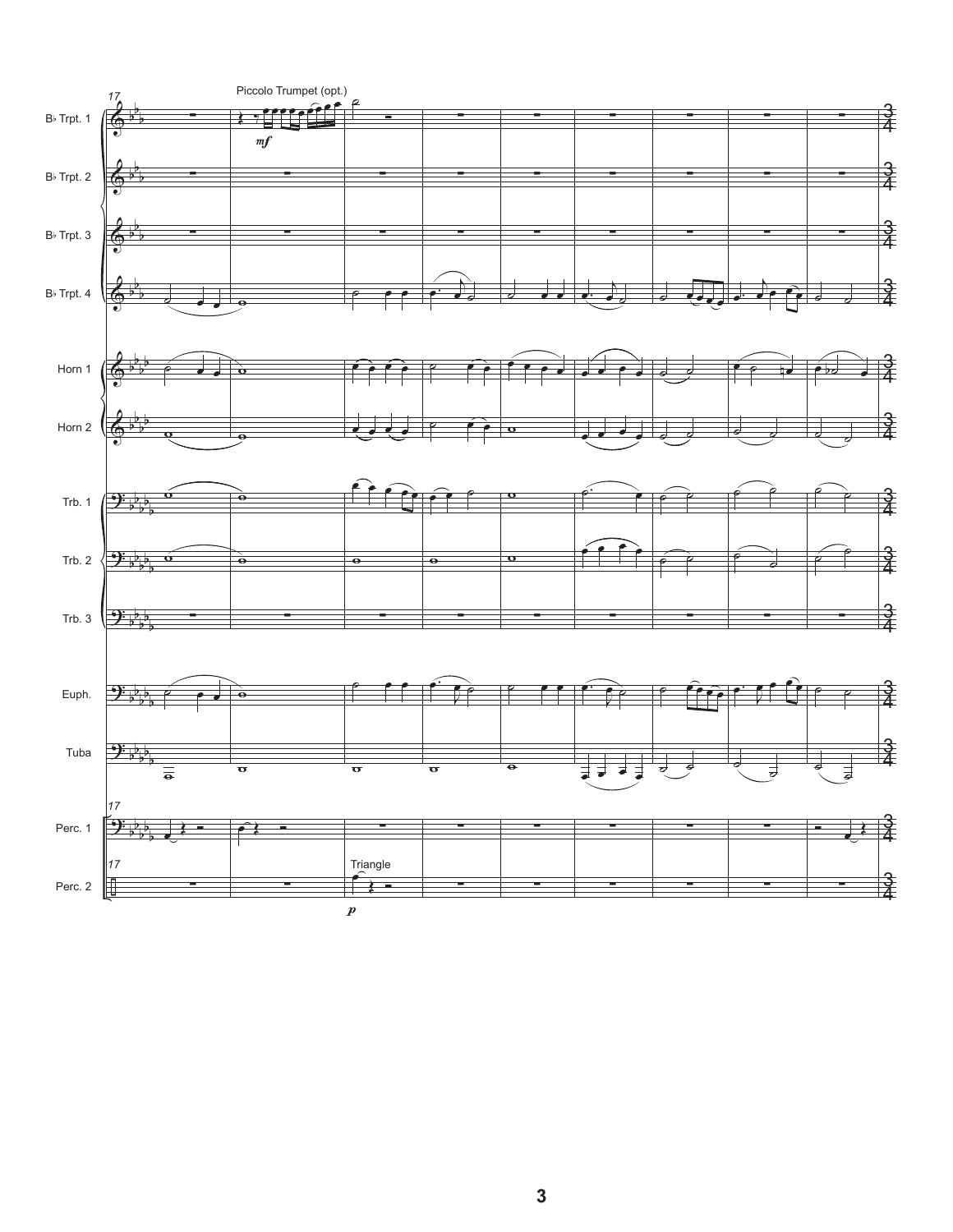

**3**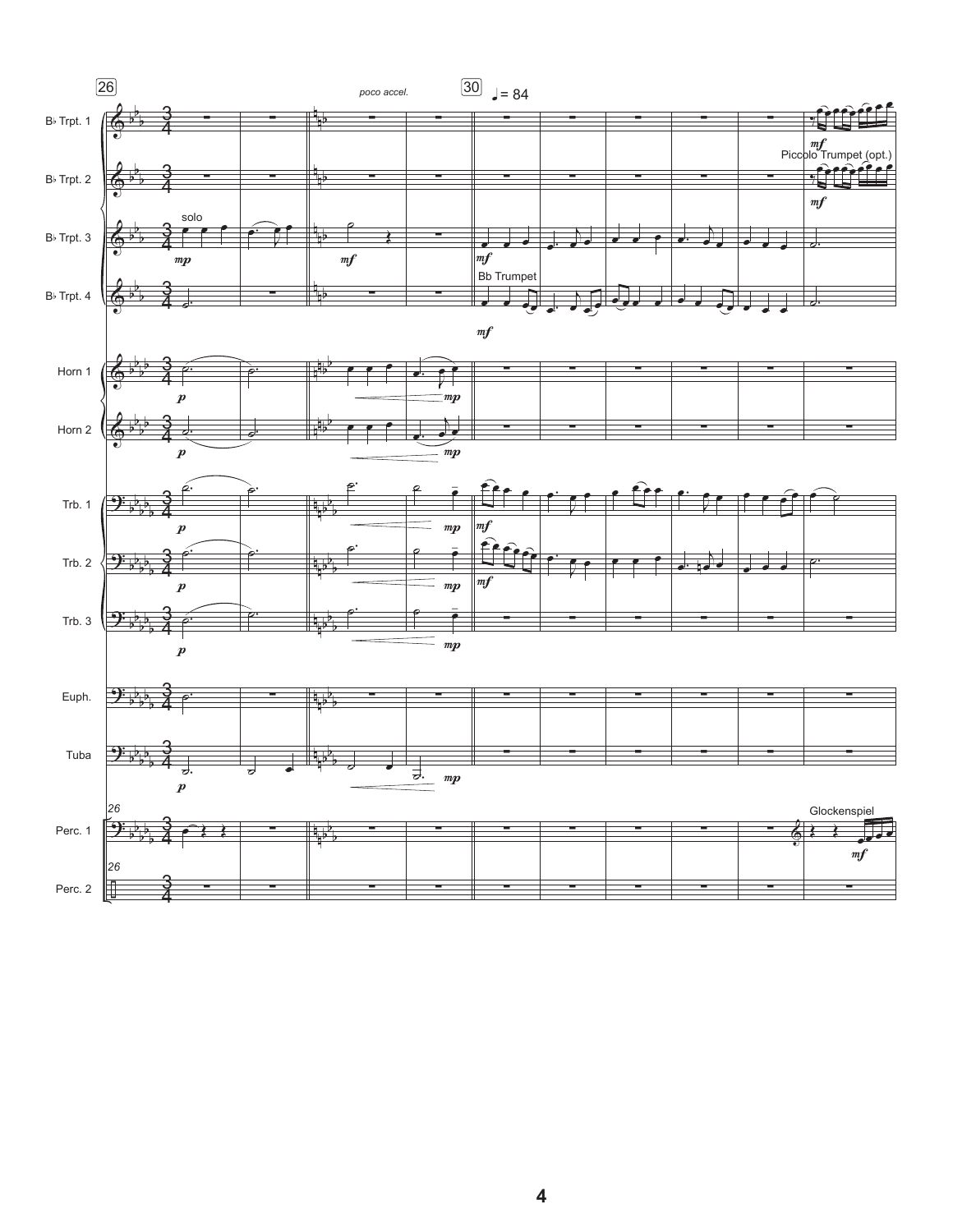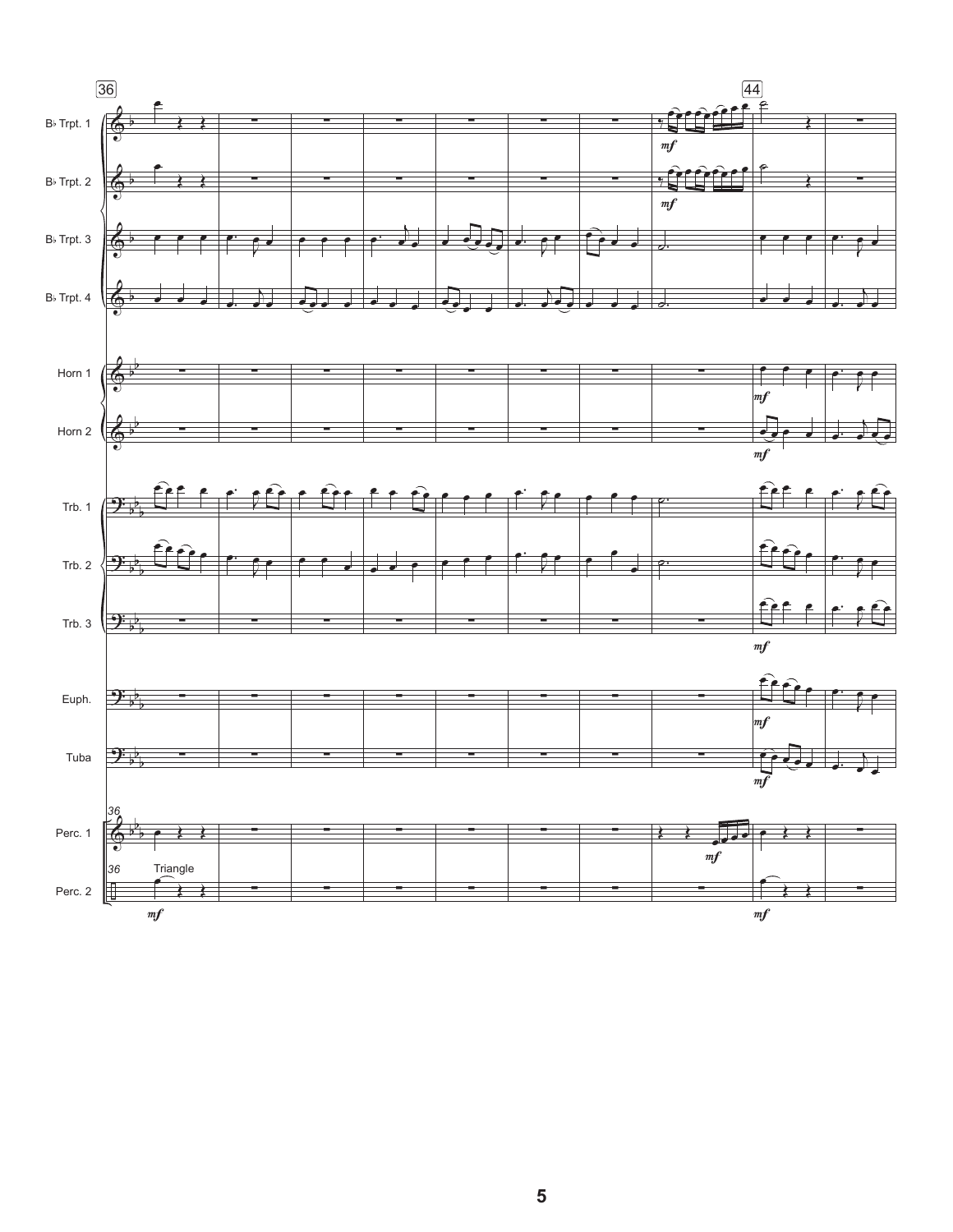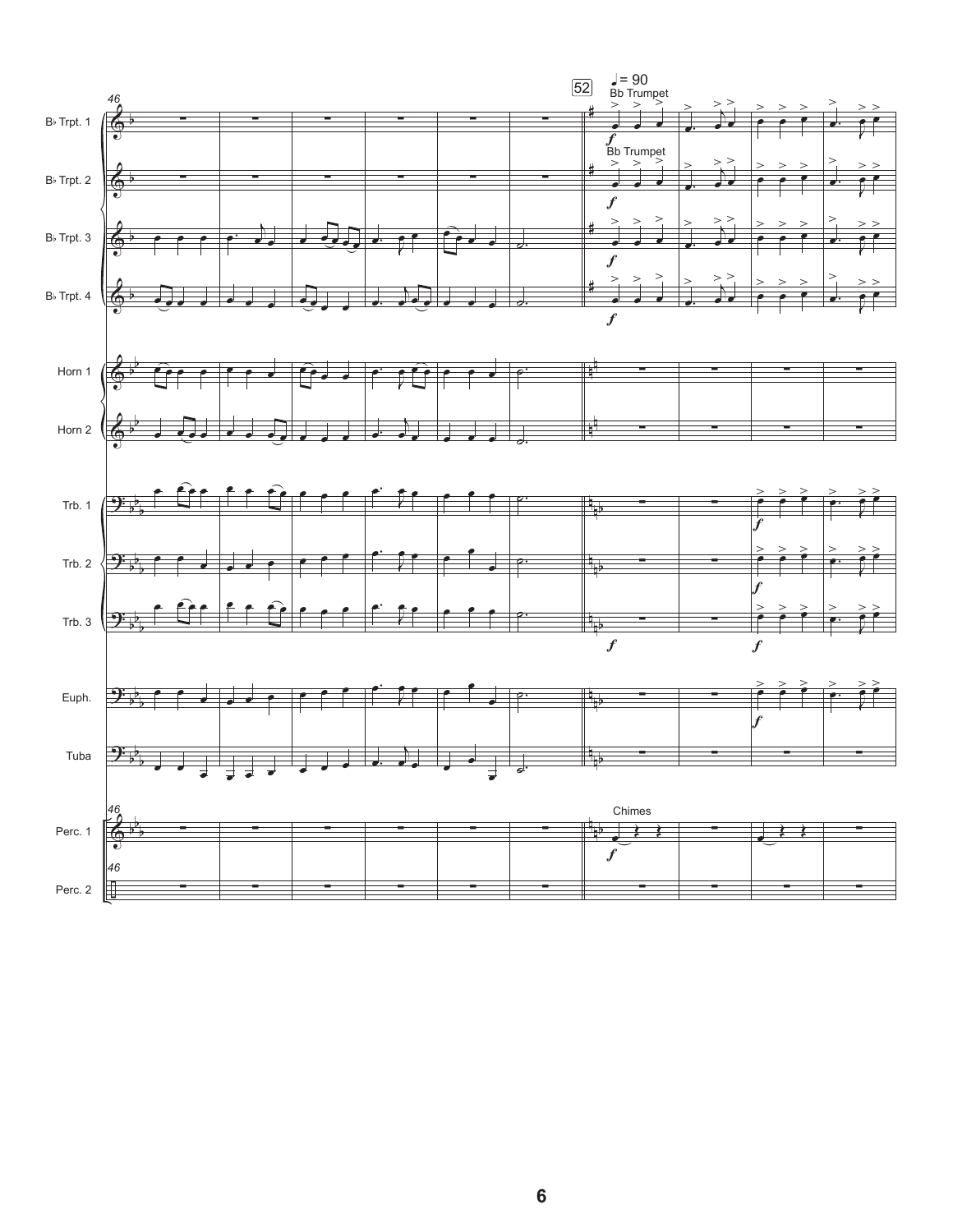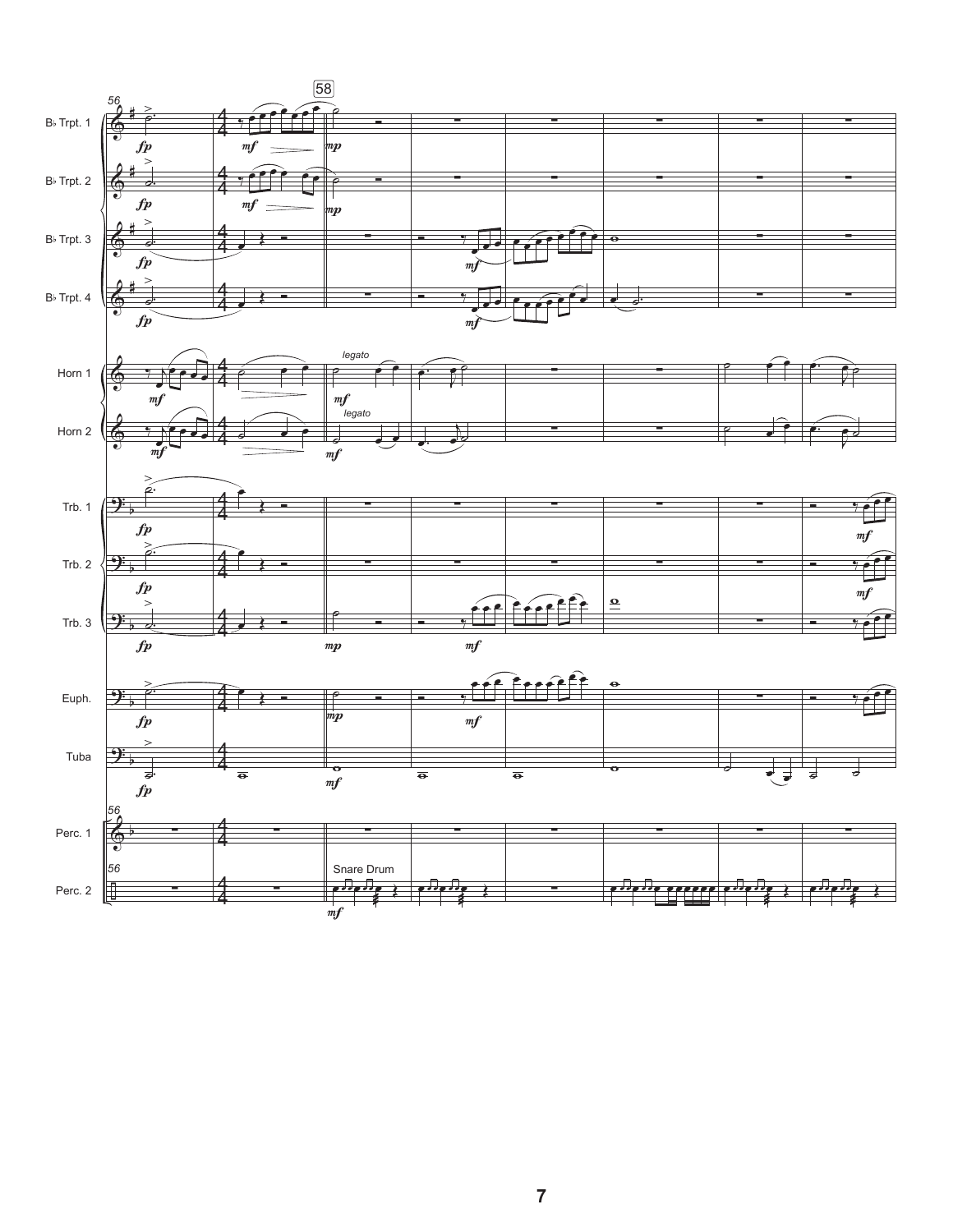

**7**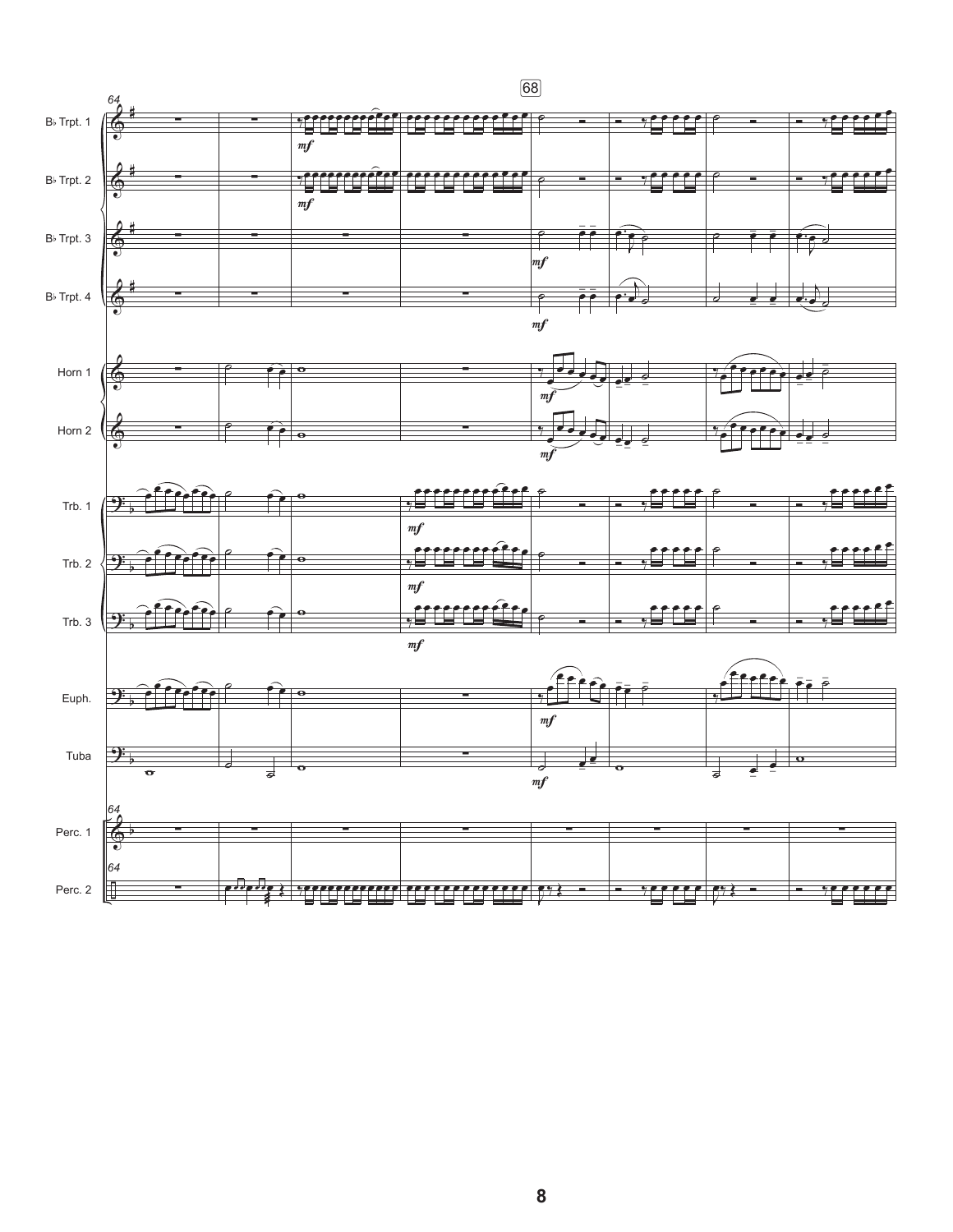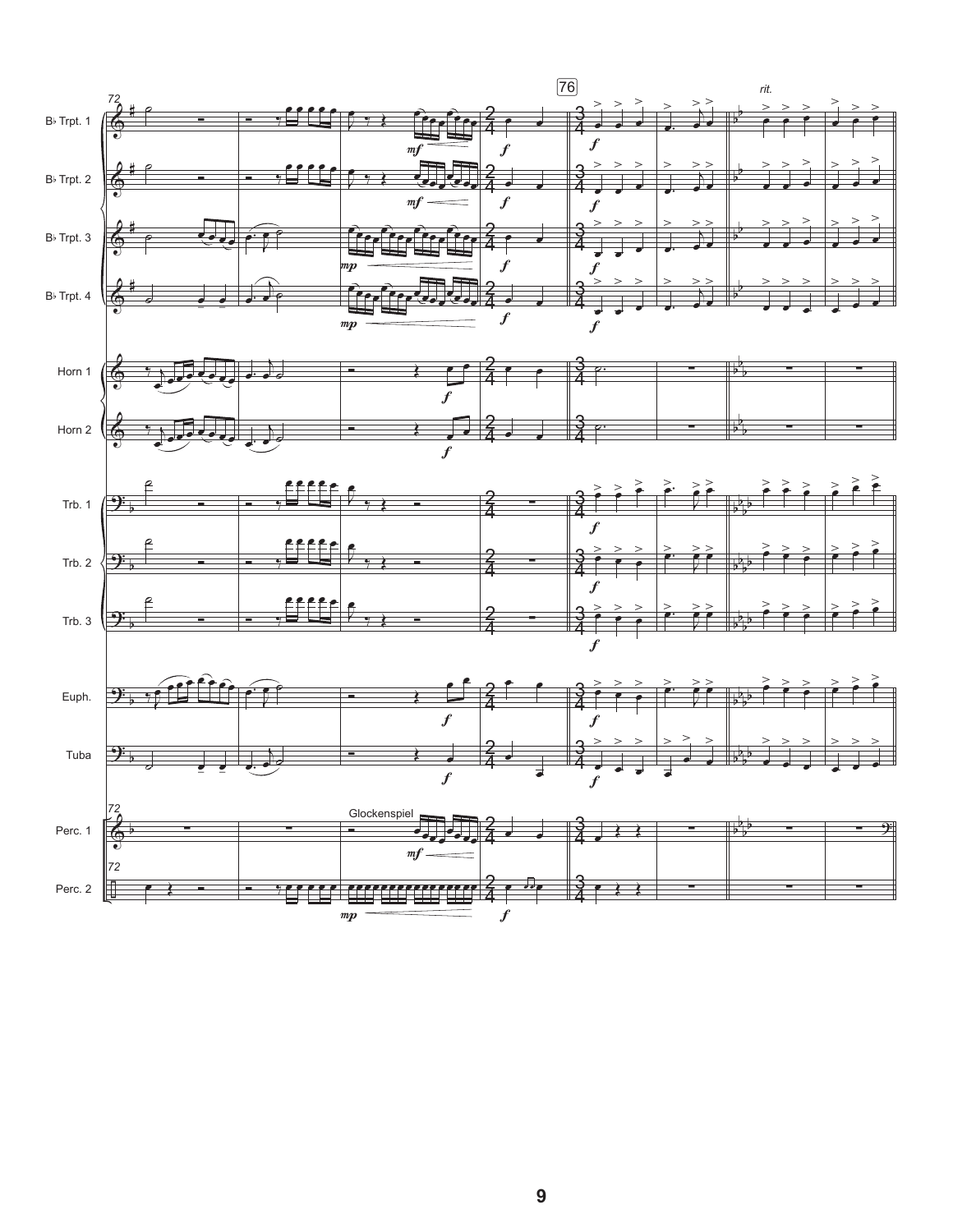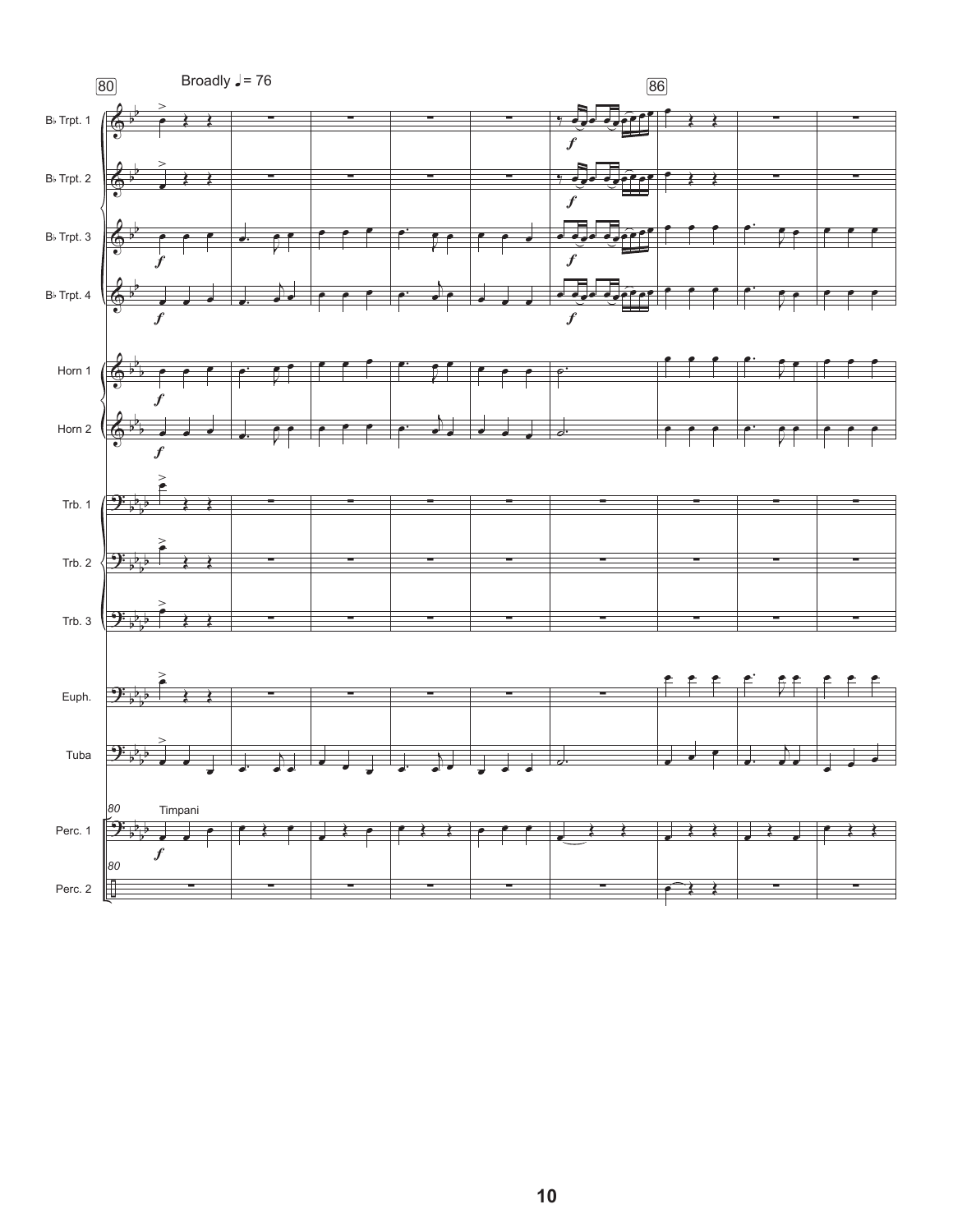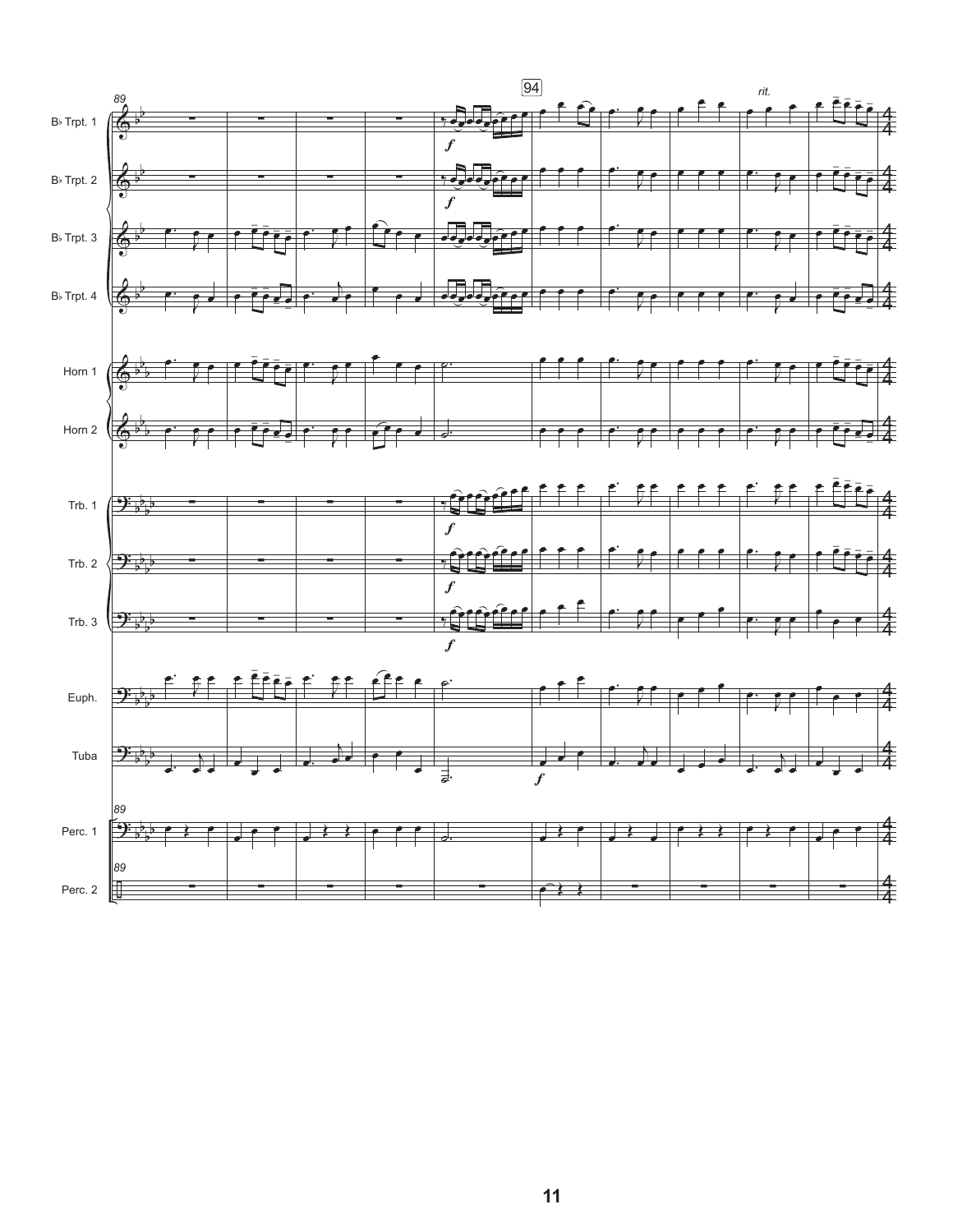